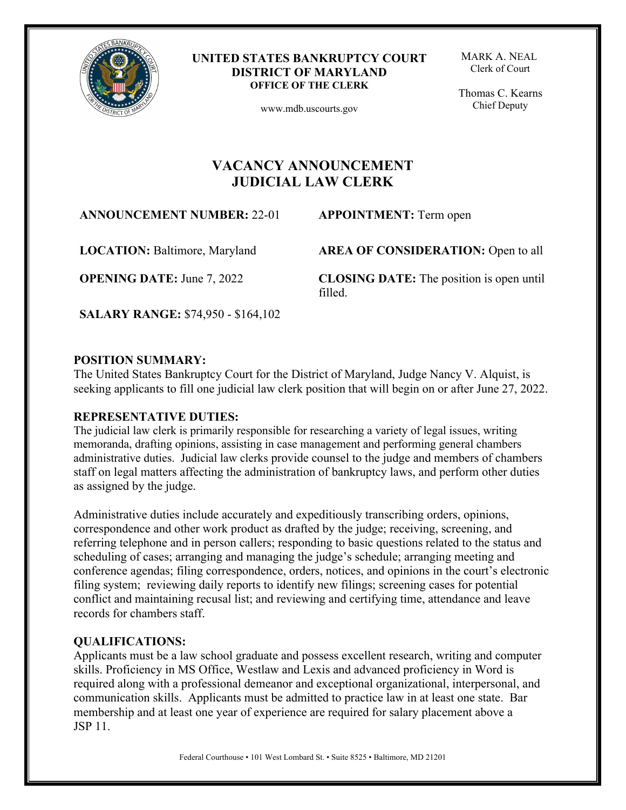

#### **UNITED STATES BANKRUPTCY COURT DISTRICT OF MARYLAND OFFICE OF THE CLERK**

www.mdb.uscourts.gov

MARK A. NEAL Clerk of Court

 Thomas C. Kearns Chief Deputy

# **VACANCY ANNOUNCEMENT JUDICIAL LAW CLERK**

**ANNOUNCEMENT NUMBER:** 22-01 **APPOINTMENT:** Term open

**LOCATION:** Baltimore, Maryland

**OPENING DATE:** June 7, 2022

**AREA OF CONSIDERATION:** Open to all

**CLOSING DATE:** The position is open until filled.

**SALARY RANGE:** \$74,950 - \$164,102

### **POSITION SUMMARY:**

The United States Bankruptcy Court for the District of Maryland, Judge Nancy V. Alquist, is seeking applicants to fill one judicial law clerk position that will begin on or after June 27, 2022.

### **REPRESENTATIVE DUTIES:**

The judicial law clerk is primarily responsible for researching a variety of legal issues, writing memoranda, drafting opinions, assisting in case management and performing general chambers administrative duties. Judicial law clerks provide counsel to the judge and members of chambers staff on legal matters affecting the administration of bankruptcy laws, and perform other duties as assigned by the judge.

Administrative duties include accurately and expeditiously transcribing orders, opinions, correspondence and other work product as drafted by the judge; receiving, screening, and referring telephone and in person callers; responding to basic questions related to the status and scheduling of cases; arranging and managing the judge's schedule; arranging meeting and conference agendas; filing correspondence, orders, notices, and opinions in the court's electronic filing system; reviewing daily reports to identify new filings; screening cases for potential conflict and maintaining recusal list; and reviewing and certifying time, attendance and leave records for chambers staff.

### **QUALIFICATIONS:**

Applicants must be a law school graduate and possess excellent research, writing and computer skills. Proficiency in MS Office, Westlaw and Lexis and advanced proficiency in Word is required along with a professional demeanor and exceptional organizational, interpersonal, and communication skills. Applicants must be admitted to practice law in at least one state. Bar membership and at least one year of experience are required for salary placement above a JSP 11.

Federal Courthouse • 101 West Lombard St. • Suite 8525 • Baltimore, MD 21201